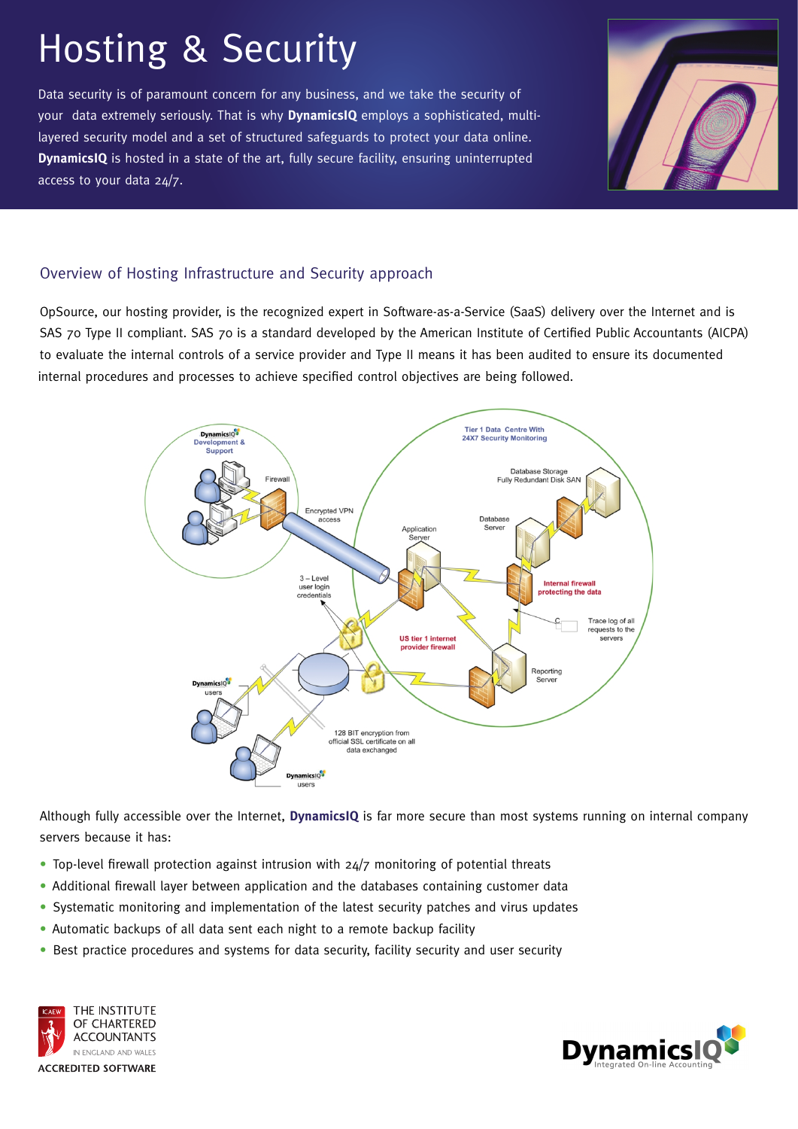# Hosting & Security

Data security is of paramount concern for any business, and we take the security of layered security model and a set of structured safeguards to protect your data online. access to your data 24/7. **DynamicsIQ** is hosted in a state of the art, fully secure facility, ensuring uninterrupted your data extremely seriously. That is why **DynamicsIQ** employs a sophisticated, multi-



## Overview of Hosting Infrastructure and Security approach

OpSource, our hosting provider, is the recognized expert in Software-as-a-Service (SaaS) delivery over the Internet and is SAS 70 Type II compliant. SAS 70 is a standard developed by the American Institute of Certified Public Accountants (AICPA) to evaluate the internal controls of a service provider and Type II means it has been audited to ensure its documented internal procedures and processes to achieve specified control objectives are being followed.



servers because it has: Although fully accessible over the Internet, **DynamicsIQ** is far more secure than most systems running on internal company

- Top-level firewall protection against intrusion with 24/7 monitoring of potential threats
- Additional firewall layer between application and the databases containing customer data
- Systematic monitoring and implementation of the latest security patches and virus updates
- Automatic backups of all data sent each night to a remote backup facility
- Best practice procedures and systems for data security, facility security and user security